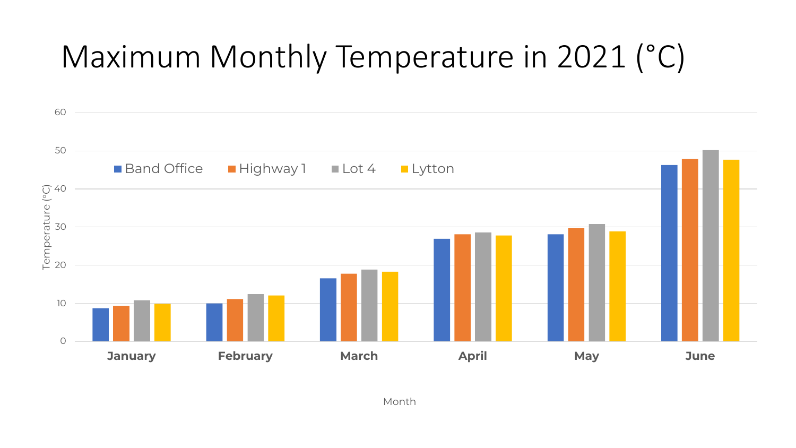## Maximum Monthly Temperature in 2021 (°C)

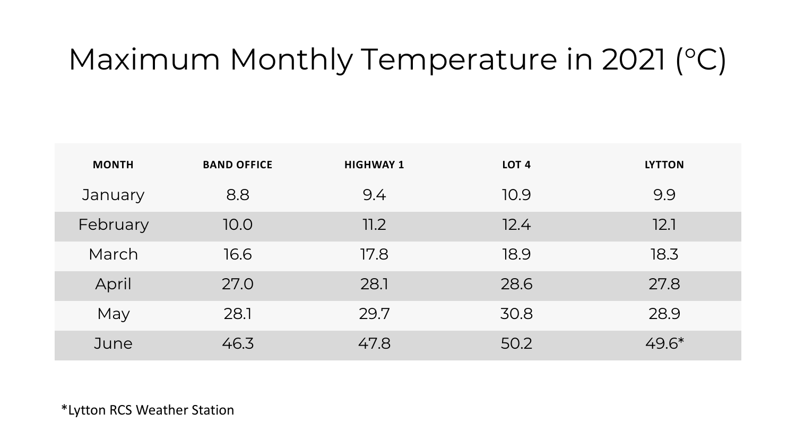## Maximum Monthly Temperature in 2021 (°C)

| <b>MONTH</b> | <b>BAND OFFICE</b> | <b>HIGHWAY 1</b> | LOT <sub>4</sub> | <b>LYTTON</b> |
|--------------|--------------------|------------------|------------------|---------------|
| January      | 8.8                | 9.4              | 10.9             | 9.9           |
| February     | 10.0               | 11.2             | 12.4             | 12.1          |
| March        | 16.6               | 17.8             | 18.9             | 18.3          |
| April        | 27.0               | 28.1             | 28.6             | 27.8          |
| May          | 28.1               | 29.7             | 30.8             | 28.9          |
| June         | 46.3               | 47.8             | 50.2             | $49.6*$       |

\*Lytton RCS Weather Station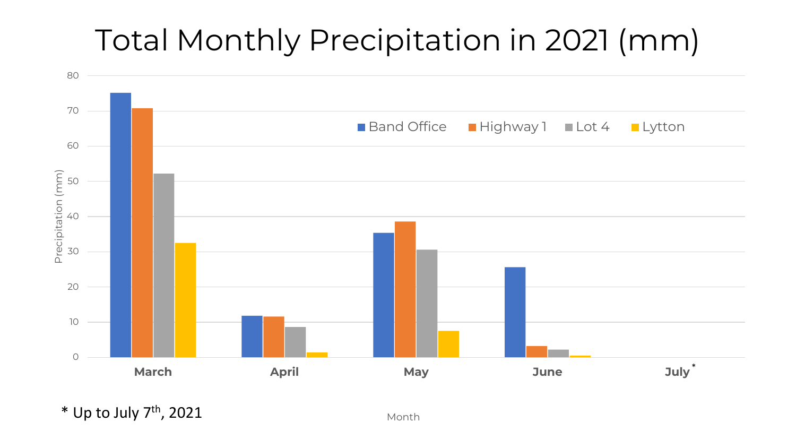### Total Monthly Precipitation in 2021 (mm)



 $*$  Up to July 7<sup>th</sup>, 2021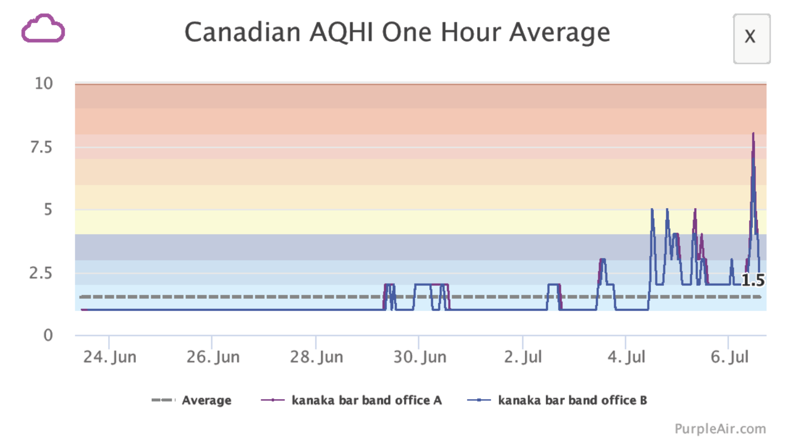

PurpleAir.com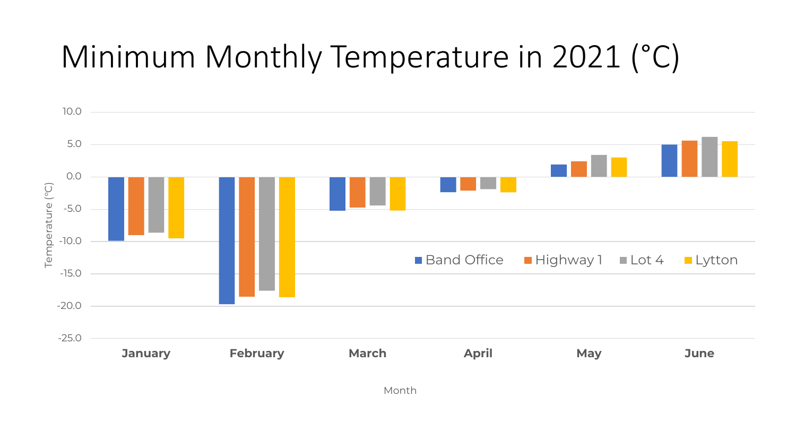## Minimum Monthly Temperature in 2021 (°C)

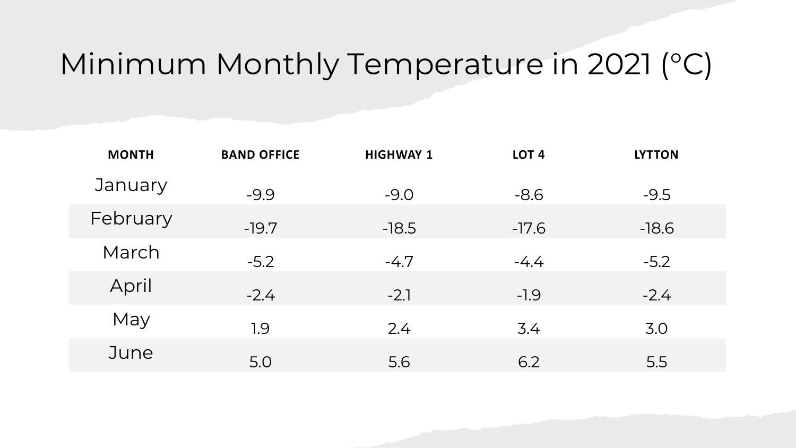#### Minimum Monthly Temperature in 2021 (°C)

| <b>MONTH</b> | <b>BAND OFFICE</b> | <b>HIGHWAY 1</b> | LOT <sub>4</sub> | <b>LYTTON</b> |
|--------------|--------------------|------------------|------------------|---------------|
| January      | $-9.9$             | $-9.0$           | $-8.6$           | $-9.5$        |
| February     | $-19.7$            | $-18.5$          | $-17.6$          | $-18.6$       |
| March        | $-5.2$             | $-4.7$           | $-4.4$           | $-5.2$        |
| April        | $-2.4$             | $-2.1$           | $-1.9$           | $-2.4$        |
| May          | 1.9                | 2.4              | 3.4              | 3.0           |
| June         | 5.0                | 5.6              | 6.2              | 5.5           |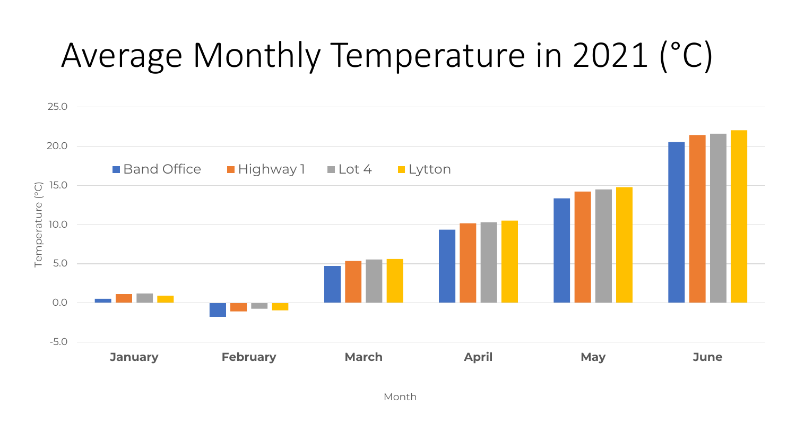# Average Monthly Temperature in 2021 (°C)

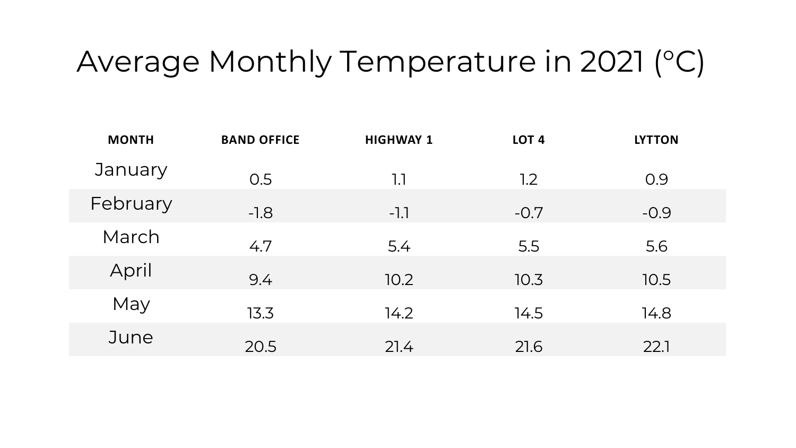#### Average Monthly Temperature in 2021 (°C)

| January<br>0.5<br>0.9<br>1.1<br>1.2<br>February<br>$-0.9$<br>$-1.8$<br>$-1.1$<br>$-0.7$ |  |
|-----------------------------------------------------------------------------------------|--|
|                                                                                         |  |
|                                                                                         |  |
| March<br>4.7<br>5.5<br>5.6<br>5.4                                                       |  |
| April<br>9.4<br>10.2<br>10.3<br>10.5                                                    |  |
| May<br>13.3<br>14.2<br>14.5<br>14.8                                                     |  |
| June<br>20.5<br>22.1<br>21.6<br>21.4                                                    |  |